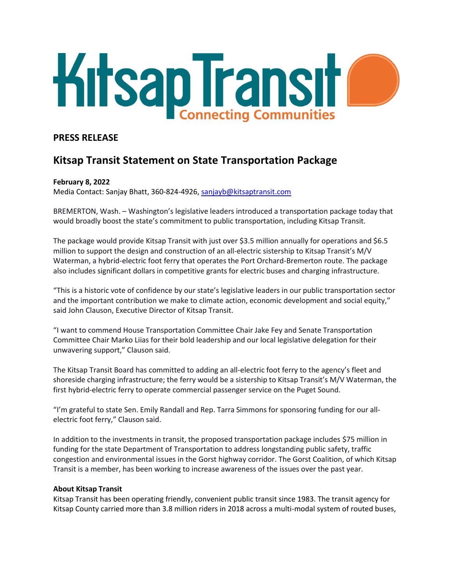

## **PRESS RELEASE**

# **Kitsap Transit Statement on State Transportation Package**

### **February 8, 2022**

Media Contact: Sanjay Bhatt, 360-824-4926, [sanjayb@kitsaptransit.com](mailto:sanjayb@kitsaptransit.com)

BREMERTON, Wash. – Washington's legislative leaders introduced a transportation package today that would broadly boost the state's commitment to public transportation, including Kitsap Transit.

The package would provide Kitsap Transit with just over \$3.5 million annually for operations and \$6.5 million to support the design and construction of an all-electric sistership to Kitsap Transit's M/V Waterman, a hybrid-electric foot ferry that operates the Port Orchard-Bremerton route. The package also includes significant dollars in competitive grants for electric buses and charging infrastructure.

"This is a historic vote of confidence by our state's legislative leaders in our public transportation sector and the important contribution we make to climate action, economic development and social equity," said John Clauson, Executive Director of Kitsap Transit.

"I want to commend House Transportation Committee Chair Jake Fey and Senate Transportation Committee Chair Marko Liias for their bold leadership and our local legislative delegation for their unwavering support," Clauson said.

The Kitsap Transit Board has committed to adding an all-electric foot ferry to the agency's fleet and shoreside charging infrastructure; the ferry would be a sistership to Kitsap Transit's M/V Waterman, the first hybrid-electric ferry to operate commercial passenger service on the Puget Sound.

"I'm grateful to state Sen. Emily Randall and Rep. Tarra Simmons for sponsoring funding for our allelectric foot ferry," Clauson said.

In addition to the investments in transit, the proposed transportation package includes \$75 million in funding for the state Department of Transportation to address longstanding public safety, traffic congestion and environmental issues in the Gorst highway corridor. The Gorst Coalition, of which Kitsap Transit is a member, has been working to increase awareness of the issues over the past year.

#### **About Kitsap Transit**

Kitsap Transit has been operating friendly, convenient public transit since 1983. The transit agency for Kitsap County carried more than 3.8 million riders in 2018 across a multi-modal system of routed buses,